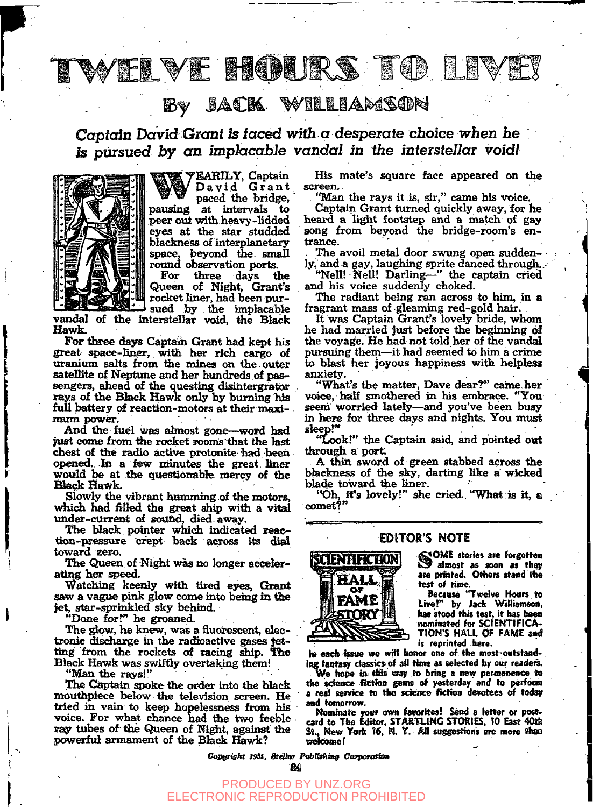#### VE HOURS **NO NATI**

## **JACK WILLIAMSON**

Captain David Grant is faced with a desperate choice when he *is pursued by an implacable vandal in the interstellar void!* 



**EARILY, Captain**   $David$  *Grant* **paced the bridge, pausing at intervals to peer out with heavy-lidded eyes at the star studded blackness of interplanetary ^ace , beyond the smaU rotmd observation** *parts.* 

**For three days the Queen of Night, Grant's rocket liner, had been pursued by the implacable** 

**vandal of the interstellar void, the Black Hawk.** 

For three days Captain Grant had kept his great space-liner, with her rich cargo of **uranium salts** *brom.* **the mines on the. outer**  satellite of Neptune and her hundreds of pas**sengers, ahead of the questing disihtergratbar rays of the Black Hawk only by burning his full battery** *qi* **reaction-motors at their maxinnim power.** 

And the fuel was almost gone—word had just come from the rocket rooms that the last chest of the radio active protonite had been *apexied. In* **a few minutes the great Bner would be at the questionalde mercy of flie Elack Hawk.** 

**iSlowly (he vibrant humming of the motors, which had filled the great ship with a vital under-current of souhd, died away.** 

**The black pointer which indicated reaction-pressure crept back across its disd toward zero.** 

**The Queen, of Night was no longer acc^r**  ating her speed.

Watching keenly with tired eyes, Grant saw a vague pink glow come into being in the **jet, star-sprinkled sky behind.** 

**"Done for?" he groaned.** 

**The glow, he knew, was a fluorescent, electronic (fisdiarge in the racfioactive gases jet**ting from the rockets of racing ship. The Black Hawk was swiftly overtaking them!

**"Man tibe rays!"** 

The Captain spoke the order into the black mouthpiece below the television screen. He **tried in vain to keep hopelessness from his**  voice. For what chance had the two feeble **ray tubes of the Queen of Night, against the powerful armament of the Bfeck Hawk?** 

**His mate's square face appeared on the screen,** 

**"Man the rays it is, sir," came his voice.** 

**Captain Grant turned quickly away, for he heard a light footstep and a match of gay scmg from beyond the bridge-room's entrance.** 

**The avoil metal door swung open suddenly, and a gay, laughing sprite danced through...** 

**"Nell! Nell! Darling—" the captain cried and his voice suddenly choked.** 

**The radiant being ran across to him, in a fragrant mass of gleaming red-gold hair.** 

**It was Captain Grant's lovely bride, whom he had married just before the beginning 61**  the voyage. He had not told her of the vandal **pursuing them—it had seemed to him a crime to blast her joyous happiness with helpless anxiety.** 

**"What's the matter, Dave dear?\*' caine.her**  voice, half smothered in his embrace. "You **seem worried lately—and you've been busy**  in here for three days and nights. You must **sleep.\*"** 

**"Lookl" the Captain said, and pointed out**  through a port.

**A ^ n sword of green stabbed across the blackness of** *the* **si^, darting like a wicked Made toward the liner.** 

**'\*6h, Ifs lovely!" die cried. "What is it, a comet?"** 

### EDITOR'S NOTE



**SOME** stories are forgotten **ib almost as soon as they<br>are printed. Others stand the test of tiine.** 

**Because "Twelve Hours** *to*  **Live!" by Jack Wiilisfflson, has stood this test, it has been<br>nominated for SCIENTIFICA-TION'S HALL OF FAME** *sod*  **is reprinted here.** 

la each issue we will honor one of the most-outstand-. ing fantasy classics of all time as selected by our readers.

*^^* **hope i» tlos erajr to bring a new perinaneiice to the sdence fictfoo gems of yesterday and to perfocm**  a real service to the science fiction devotees of today **and tomorrow.** 

**Nominate your own favorites! Send** *a* **letter or post-card to The Edaor, STARTLING STORIES, tO East 4Mb St., Me@ Yorit** *K,* **M. V. An suggestioiis are more thsQ cTelcomel** 

*Copyright 1981, Stellar PubBahing Cozporation* 

PRODUCED BY UNZ.ORG ECTRONIC REPRODUCTION PROHIBITED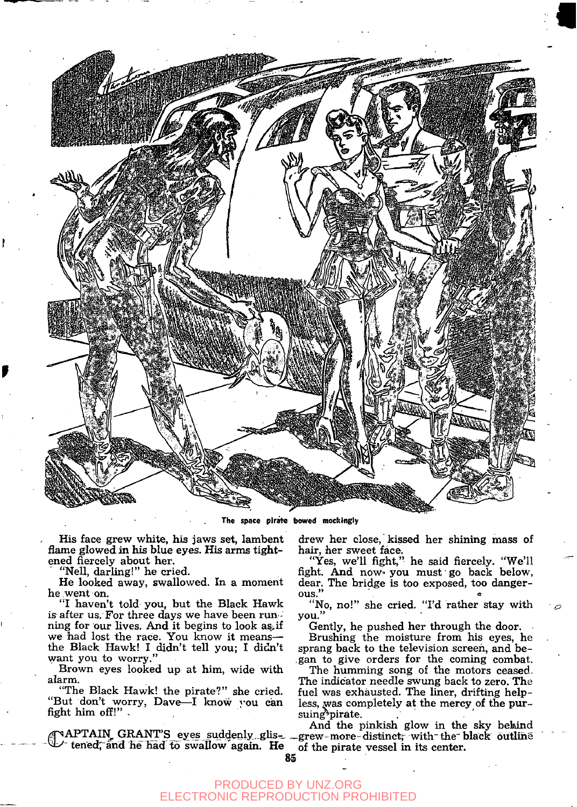

The space pirate bowed mockingly

His face grew white, his jaws set, lambent flame glowed in his blue eyes. His arms tightened fiercely about her.

"Nell, darling!" he cried.

He looked away, swallowed. In a moment he went on.

"I haven't told you, but the Black Hawk is after us. For three days we have been run ning for our lives. And it begins to look *as.ii*  we had lost the race. You know it means the Black Hawk! I didn't tell you; I didn't want you to worry."

Brown eyes looked up at him, wide with alarm.

"The Black Hawk! the pirate?" she cried. "But don't worry, Dave-I know you can fight him off!" ,

TAPTAIN GRANT'S eyes suddenly glis-<br>U tened, and he had to swallow again. He

drew her close, kissed her shining mass of hair, her sweet face.

"Yes, we'll fight," he said fiercely. "We'll fight. And now you must go back below, dear. The bridge is too exposed, too danger-<br>ous." ous."  $\qquad \qquad \bullet$ 

"No, no!" she cried. "I'd rather stay with you."

Gently, he pushed her through the door. Brushing the moisture from his eyes, he sprang back to the television screen, and began to give orders for the coming combat.

The humming song of the motors ceased. The indicator needle swung back to zero. The fuel was exhausted. The liner, drifting helpless, was completely at the mercy of the pursuing<sup>3</sup>pirate.

APTAIN, GRANT'S eyes suddenly, glis- \_grew-more-distinct, with the black outline And the pinkish glow in the sky behind of the pirate vessel in its center.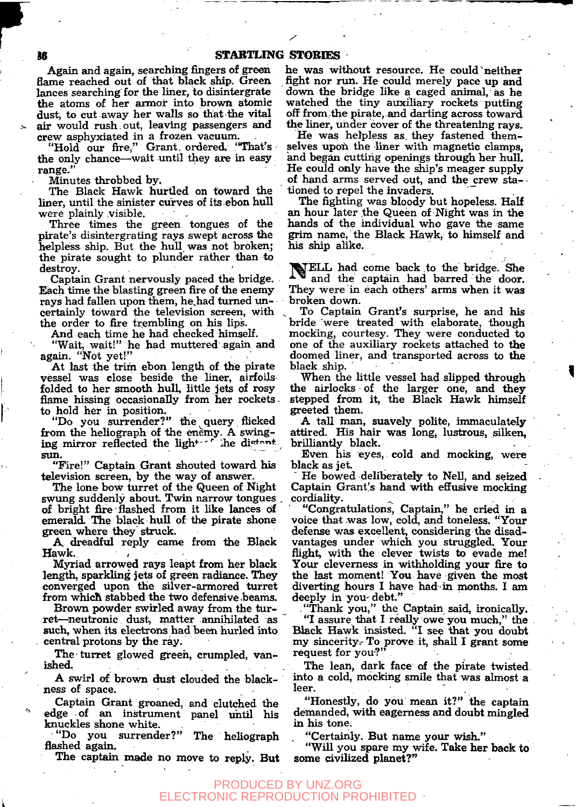Again and again, searching fingers of green flame reached out of that black ship. Green lances searching for the liner, to disintergrate the atoms of her armor into brown atomic dust, to cut away her walls so that the vital air would rush.out, leaving passengers and crew asphyxiated in a frozen vacuum.

"Hold our fire," Grant ordered. "That's the only chance—wait until they are in easy range."

Minutes throbbed by.

The Black Hawk hurtled on toward the liner, until the sinister curves of its ebon hull were plainly visible.

Three times the green tongues of the pirate's disintergrating rays swept across the helpless ship. But the hull was not broken; the pirate sought to plunder rather than to destroy.

Captain Grant nervously paced the bridge. Each time the blasting green fire of the enemy rays had fallen upon them, he had turned uncertainly toward the television screen, with the order to fire trembling on his lips.

And each time he had checked himself.

"Wait, wait!" he had muttered again and again. "Not yet!"

At last the trim ebon length of the pirate vessel was close beside the liner, airfoils folded to her smooth hull, little jets of rosy flame hissing occasionally from her rockets. to hold her in position.

'Do you surrender?" the query flicked from the heliograph of the enemy. A swinging mirror reflected the light-"" ihe distant. sun.

"Fire!" Captain Grant shouted toward his television screen, by the way of answer.

The lone bow turret of the Queen of Night swung suddenly about. Twin narrow tongues . of bright fire flashed from it like lances of emerald. The black hull of the pirate shone green where they struck.

*A.* dreadful reply came from the Black **Hawk.** *• I* 

Myriad arrowed rays leapt from her black length, sparkling jets of green radiance. They converged upon the silver-armored turret from which stabbed the two defensive beams.

Brown powder swirled away from the turret—neutronic dust, matter annihilated as such, when its electrons had been hurled into central protons by the ray.

The turret glowed green, crumpled, vanished,

A swirl of brown dust clouded the blackness of space.

Captain Grant groaned, and clutched the edge of an instrument panel until his knuckles shone white.

"Do you surrender?" The heliograph flashed again.

The captain made no move to reply. But

he was without resource. He could neither fight nor run. He could merely pace up and down the bridge like a caged animal, as he watched the tiny auxiliary rockets putting off from the pirate, and darting across toward the liner, under cover of the threatening rays.

He was helpless as, they fastened themselves upon the liner with magnetic clamps, and began cutting openings through her hull. He could only have the ship's meager supply of hand arms served out, and the crew stationed to repel the invaders.

The fighting was bloody but hopeless. Half an hour later the Queen of Night was in the hands of the individual who gave the same grim name,' the Black Hawk, to himself and his ship alike.

NELL had come back to the bridge. She and the captain had barred the door. They were in each others' arms when it was broken down.

To Captain Grant's surprise, he and his bride were treated with elaborate, though mocking, courtesy. They were conducted to one of the auxiliary rockets attached to the doomed liner, and transported across to the black ship.

When the little vessel had slipped through the airlocks of the larger one, and they stepped from it, the Black Hawk himself greeted them.

A taU man, suavely polite, immaculately attired. His hair was long, lustrous, silken, brilliantly black.

Even his eyes, cold and mocking, were black as jet.

He bowed deliberately to Nell, and seized Captain Grant's hand with effusive mocking cordiality.

"Congratulations, Captain," he cried in a voice that was low, cold, and toneless. "Your defense was excellent, considering the disadvantages under which you struggled. Your flight, with the clever twists to evade me! Your cleverness in withholding your fire to the last moment! You have given the most diverting hours I have had in months. I am deeply in you-debt."

- "Thank you," the Captain said, ironically. "I assure that I really owe you much," the Black Hawk insisted. "I see that you doubt my sincerity-To prove it, shall I grant some request for you?"

The lean, dark face of the pirate twisted into a cold, mocking smile that was almost a leer. The contract of the contract of the contract of the contract of the contract of the contract of the contract of the contract of the contract of the contract of the contract of the contract of the contract of the cont

"Honestly, do you mean it?" the captain demanded, with eagerness and doubt mingled in his tone.

"Certainly. But name your wish."

"Will you spare my wife. Take her back to some civilized planet?"

#### PRODUCED BY UNZ.ORG ECTRONIC REPRODUCTION PROHIBITED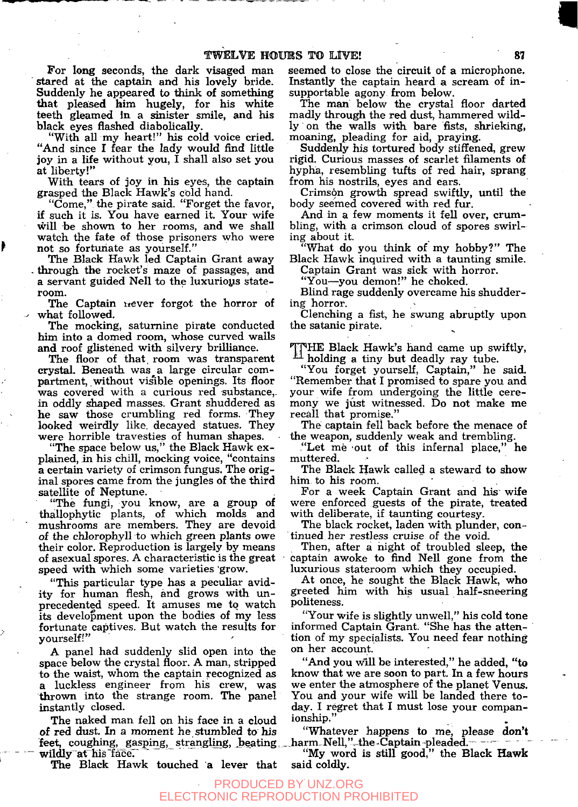For long seconds, the dark visaged man stared at the captain and his lovely bride. Suddenly he appeared to think of something that pleased him hugely, for his white teeth gleamed in a sinister smile, and his black eyes flashed diabolically.

"With all my heart!" his cold voice cried. "And since I fear the lady would find little joy in a life without you, I shall also set you at liberty!"

With tears of joy in his eyes, the captain grasped the Black Hawk's cold hand.

"Come," the pirate said. "Forget the favor, if such it is. You have earned it. Your wife will be shown to her rooms, and we shall watch the fate of those prisoners who were not so forturiate as yourself."

The Black Hawk led Captain Grant away - through the rocket's maze of passages, and a servant guided Nell to the luxurioys stateroom.

The Captain never forgot the horror of what followed.

The mocking, saturnine pirate conducted him into a domed room, whose curved walls and roof glistened with silvery brilliance.

The floor of that, room was transparent crystal. Beneath was a large circular compartment, without visible openings. Its floor was covered with a curious red substance, in oddly shaped masses. Grant shuddered as he saw those crumbling red forms. They looked weirdly like, decayed statues. They were horrible travesties of human shapes.

"The space below us," the Black Hawk explained, in his chill, mocking voice, "contains a certain variety of crimson fungus. The original spores came from the jungles of the third satellite of Neptune.

"The fungi, you know, are a group of thallophytic plants, of which molds and mushrooms are members. They are devoid of the chlorophyll to which green plants owe their color. Reproduction is largely by means of asexual spores. A characteristic is the great speed with which some varieties 'grow.

"This particular type has a pecuhar avidity for human flesh, and grows with unprecedented speed. It amuses me to watch its development upon the bodies of my less fortunate captives. But watch the results for yourself!"

A panel had suddenly slid open into the space below the crystal floor. A man, stripped to the waist, whom the captain recognized as a luckless engineer from his crew, was thrown into the strange room. The panel instantly closed.

The naked man fell on his face in a cloud of red dust. In a moment he stumbled to his feet, coughing, gasping, strangling, beating wildly at his face.

The Black Hawk touched a lever that

seemed to close the circuit of a microphone. Instantly the captain heard a scream of insupportable agony from below.

The man below the crystal floor darted madly through the red dust, hammered wildly on the walls with bare fists, shrieking, moaning, pleading for aid, praying.

Suddenly his tortured body stiffened, grew rigid. Curious masses of scarlet filaments of hypha, resembling tufts of red hair, sprang from his nostrils, eyes and ears.

Crimson growth spread swiftly, until the body seemed covered with red fur.

And in a few moments it fell over, crumbling, with a crimson cloud of spores swirling about it.

"What do you think of my hobby?" The Black Hawk inquired with a taunting smile.

Captain Grant was sick with horror.

"You-you demon!" he choked.

Blind rage suddenly overcame his shuddering horror.

Clenching a fist, he swung abruptly upon the Satanic pirate.

THE Black Hawk's hand came up swiftly,  $^{41}$  holding a tiny but deadly ray tube.

"You forget yourself. Captain," he said. "Remember that I promised to spare you and your wife from undergoing the little ceremony we just witnessed. Do not make me recall that promise."

The captain fell back before the menace of the weapon, suddenly weak and trembling.

"Let me 'OUt of this infernal place," he muttered.

The Black Hawk called a steward to show him to his room.

For a week Captain Grant and his wife were enforced guests of the pirate, treated with deliberate, if taunting courtesy.

The black rocket, laden with plunder, continued her restless cruise of the void.

Then, after a night of troubled sleep, the captain awoke to find Nell gone from the luxurious stateroom which they occupied.

At once, he sought the Black Hawk, who greeted him with his usual haU-sneering politeness.

"Your wife is slightly unwell," his cold tone informed Captain Grant. "She has the attention of my specialists. You need fear nothing on her account.

"And you will be interested," he added, "to know that we are soon to part. In a few hours we enter the atmosphere of the planet Venus. You and your wife will be landed there today. I regret that I must lose your companionship."

"Whatever happens to me, please don't , harm. Nell, ""the.Captain pleaded. *'* 

"My word is still good," the Black Hawk said coldly.

#### PRODUCED BY UNZ.ORG ECTRONIC REPRODUCTION PROHIBITED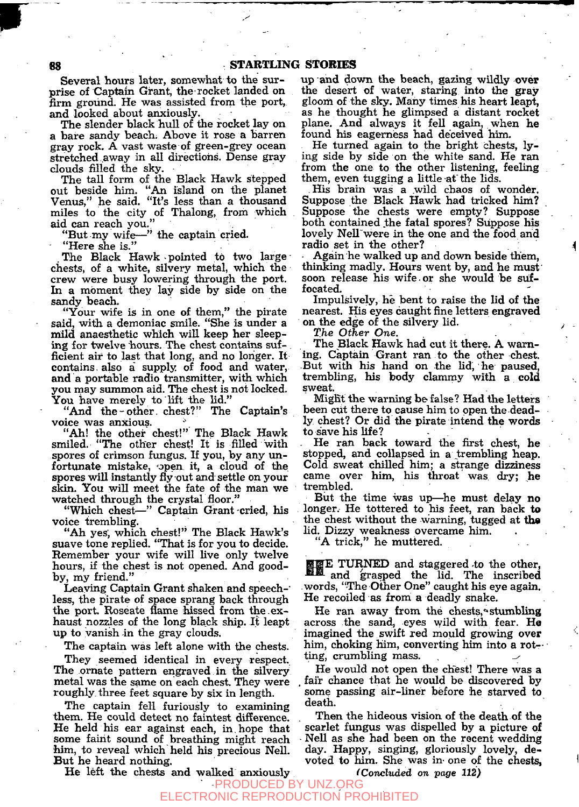Several hours later, somewhat to the surprise of Captain Grant, the rocket landed on firm ground. He was assisted from the port, and looked about anxiously.

The slender black hull of the rocket lay on a bare sandy beach; Above it rose a barren gray rock. A vast waste of green-grey ocean stretched away in all directions. Dense gray clouds filled the sky.

The tall form of the Black Hawk stepped out beside him. "An island on the planet Venus," he said. "It's less than a thousand miles to the city of Thalong, from which aid can reach you."<br>"But my wife-"

 $\ddot{ }$  the captain cried.

"Here she is."

. The Black Hawk - pointed to two large chests, of a white, silvery metal, which the crew were busy lowering through the port. In a moment they lay side by side on the sandy beach.

"Your wife is in one of them," the pirate said, with a demoniac smile. "She is under a mild anaesthetic which will keep her sleeping for twelve hours. The chest contains sufficient air to last that long, and no longer. It contains, also a' supply of food and water, and a portable radio transmitter, with which you may summon aid. The chest is not locked. You have merely to lift the lid."

"And the-other, chest?" The Captain's voice was anxious.

"Ah! the other chest!" The Black Hawk smiled. "The other chest! It is filled with spores of crimson fungus. If you, by any unfortunate mistake, open it, a cloud of the spores will instantly fly out and settle on your skin. You will meet the fate of the man we watched through the crystal floor."

"Which chest—" Captain Grant cried, his voice trembling.

"Ah yes; which chest!" The Black Hawk's suave tone rephed. "That is for you to decide. Remember your wife will live only twelve hours, if the chest is not opened. And goodby, my friend."

Leaving Captain Grant shaken and speech-" less, the pirate of space sprang back through the port. Roseate flame hissed from the.exhaust nozzles of the long black ship. It leapt up to vanish in the gray clouds.

The captain was left alone with the chests.

They seemed identical in every respect. The ornate pattern engraved in the silvery metal was the same on each chest. They were roughly, three feet square by six in length.

The captain fell furiously to examining them. He could detect no faintest difference. He held his ear against each, in,hope that some faint sound of breathing might reach him, to reveal which held his precious Nell. But he heard nothing.

He left the chests and walked anxiously

up and down the beach, gazing wildly over the desert of water, staring into the gray gloom of the sky. Many times his heart leapt, as he thought he glimpsed a distant rocket plane. And always it fell again, when he found his eagerness had deceived him.

He turned again to the bright chests, lying side by side on the white sand. He ran from the one to the other listening, feeling them, even tugging a little at the lids.

His brain was a wild chaos of wonder. Suppose the Black Hawk had tricked him? Suppose the chests were empty? Suppose both contained the fatal spores? Suppose his lovely Nell were in the one and the food and radio set in the other? ^

Again he walked up and down beside them, thinking madly. Hours went by, and he must' soon release his wife or she would be suffocated.

Impulsively, he bent to raise the lid of the nearest. His eyes caught fine letters engraved on the edge of the silvery lid. ^

*The Other One.* 

The Black Hawk had cut it there. A warning. Captain Grant ran to the other chest. But with his hand on the lid, he paused, trembling, his body clammy with a cold sweat.

Might the warning be false? Had the letters been cut there to cause him to open the deadly chest? Or did the pirate intend the words to save his life?

He ran back toward the first chest, he stopped, and collapsed in a trembling heap. Cold sweat chilled him; a strange dizziness came over him, his throat was dry; he trembled.

But the time was up—he must delay no longer. He tottered to his feet, ran back to the chest without the warning, tugged at **tha**  lid. Dizzy weakness overcame him.

"A trick," he muttered.

**EEE TURNED** and staggered to the other, and grasped the lid. The inscribed words, "The Other One" caught his eye again. He recoiled as from a deadly snake.

He ran away from the chests, stumbling across the sand, eyes wild with fear. He imagined the swift red mould growing over him, choking him, converting him into a rotting, crumbling mass.

He would not open the chest! There was a fair chance that he would be discovered by some passing air-liner before he starved to death.

Then the hideous vision of the death of the scarlet fungus was dispelled by a picture of Nell as she had been on the recent wedding day. Happy, singing, gloriously lovely, devoted to him. She was in- one of the chests, '

*(Concluded on page 112)* 

#### PRODUCED BY UNZ.ORG ECTRONIC REPRODUC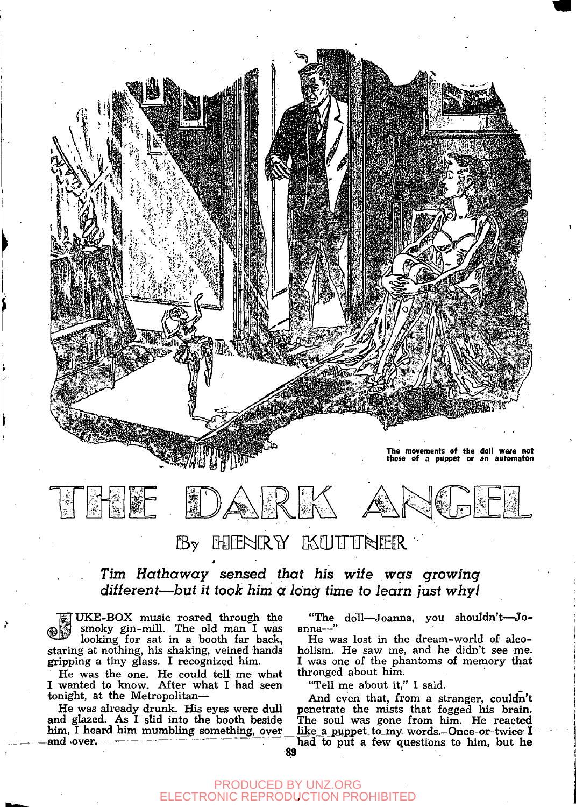



# By HIENRY KUTTNER

*Tim Hathaway sensed that his wile was growing different*—*but it took him a long time to learn just why!* 

**EX UKE-BOX** music roared through the smoky gin-mill. The old man I was looking for sat in a booth far back, staring at nothing, his shaking, veined hands gripping a tiny glass. I recognized him.

I

He was the one. He could teU me what I wanted to know. After what I had seen tonight, at the Metropolitan—

He was already drunk. His eyes were dull and glazed. As I slid into the booth beside him, I heard him mumbling something, over and over.

"The doll—Joanna, you shouldn't—Joanna—"

He was lost in the dream-world of alcoholism. He saw me, and he didn't see me. I was one of the phantoms of memory that thronged about him.

"Tell me about it," I said.

And even that, from a stranger, couldn't penetrate the mists that fogged his brain. The soul was gone from him. He reacted like\_a\_puppet\_to\_my .words.—Once-or-twice I-

had to put a few questions to him, but he<br>89